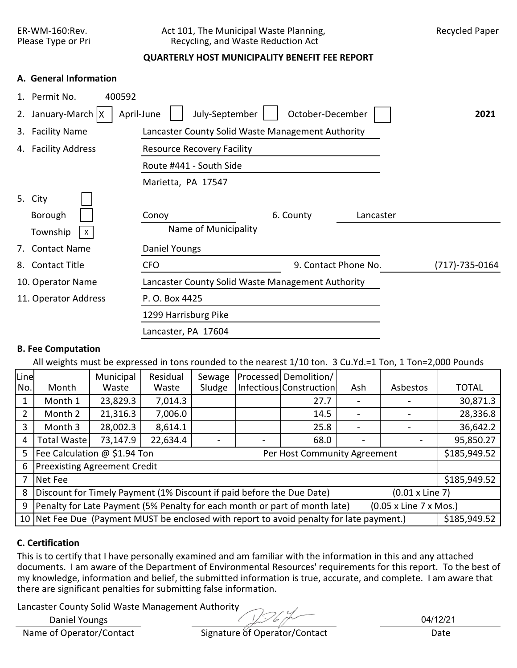## ER-WM-160:Rev. Act 101, The Municipal Waste Planning, Recycled Paper<br>Please Type or Pri Recycling, and Waste Reduction Act Recycling, and Waste Reduction Act

# **QUARTERLY HOST MUNICIPALITY BENEFIT FEE REPORT**

### **A. General Information**

|    | Permit No.<br>400592 |                                                   |                      |           |                |
|----|----------------------|---------------------------------------------------|----------------------|-----------|----------------|
| 2. | January-March   X    | July-September<br>April-June                      | October-December     |           | 2021           |
| 3. | <b>Facility Name</b> | Lancaster County Solid Waste Management Authority |                      |           |                |
|    | 4. Facility Address  | <b>Resource Recovery Facility</b>                 |                      |           |                |
|    |                      | Route #441 - South Side                           |                      |           |                |
|    |                      | Marietta, PA 17547                                |                      |           |                |
|    | 5. City              |                                                   |                      |           |                |
|    | Borough              | Conoy                                             | 6. County            | Lancaster |                |
|    | Township<br>X        | Name of Municipality                              |                      |           |                |
| 7. | <b>Contact Name</b>  | Daniel Youngs                                     |                      |           |                |
| 8. | <b>Contact Title</b> | <b>CFO</b>                                        | 9. Contact Phone No. |           | (717)-735-0164 |
|    | 10. Operator Name    | Lancaster County Solid Waste Management Authority |                      |           |                |
|    | 11. Operator Address | P. O. Box 4425                                    |                      |           |                |
|    |                      | 1299 Harrisburg Pike                              |                      |           |                |
|    |                      | Lancaster, PA 17604                               |                      |           |                |

### **B. Fee Computation**

All weights must be expressed in tons rounded to the nearest 1/10 ton. 3 Cu.Yd.=1 Ton, 1 Ton=2,000 Pounds

| Line |                                                                                                          | Municipal | Residual | Sewage |  | <b>Processed Demolition/</b> |     |          |              |  |  |  |
|------|----------------------------------------------------------------------------------------------------------|-----------|----------|--------|--|------------------------------|-----|----------|--------------|--|--|--|
| No.  | Month                                                                                                    | Waste     | Waste    | Sludge |  | Infectious Construction      | Ash | Asbestos | <b>TOTAL</b> |  |  |  |
|      | Month 1                                                                                                  | 23,829.3  | 7,014.3  |        |  | 27.7                         |     |          | 30,871.3     |  |  |  |
| 2    | Month 2                                                                                                  | 21,316.3  | 7,006.0  |        |  | 14.5                         |     |          | 28,336.8     |  |  |  |
| 3    | Month 3                                                                                                  | 28,002.3  | 8,614.1  |        |  | 25.8                         |     |          | 36,642.2     |  |  |  |
| 4    | 73,147.9<br>22,634.4<br><b>Total Waste</b><br>68.0                                                       |           |          |        |  |                              |     |          |              |  |  |  |
| 5    | Fee Calculation @ \$1.94 Ton<br>\$185,949.52<br>Per Host Community Agreement                             |           |          |        |  |                              |     |          |              |  |  |  |
| 6    | <b>Preexisting Agreement Credit</b>                                                                      |           |          |        |  |                              |     |          |              |  |  |  |
| 7    | Net Fee                                                                                                  |           |          |        |  |                              |     |          | \$185,949.52 |  |  |  |
| 8    | Discount for Timely Payment (1% Discount if paid before the Due Date)<br>$(0.01 \times$ Line 7)          |           |          |        |  |                              |     |          |              |  |  |  |
| 9    | Penalty for Late Payment (5% Penalty for each month or part of month late)<br>(0.05 x Line 7 x Mos.)     |           |          |        |  |                              |     |          |              |  |  |  |
|      | 10 Net Fee Due (Payment MUST be enclosed with report to avoid penalty for late payment.)<br>\$185,949.52 |           |          |        |  |                              |     |          |              |  |  |  |

## **C. Certification**

This is to certify that I have personally examined and am familiar with the information in this and any attached documents. I am aware of the Department of Environmental Resources' requirements for this report. To the best of my knowledge, information and belief, the submitted information is true, accurate, and complete. I am aware that there are significant penalties for submitting false information.

Lancaster County Solid Waste Management Authority

Daniel Youngs

Name of Operator/Contact Signature of Operator/Contact Date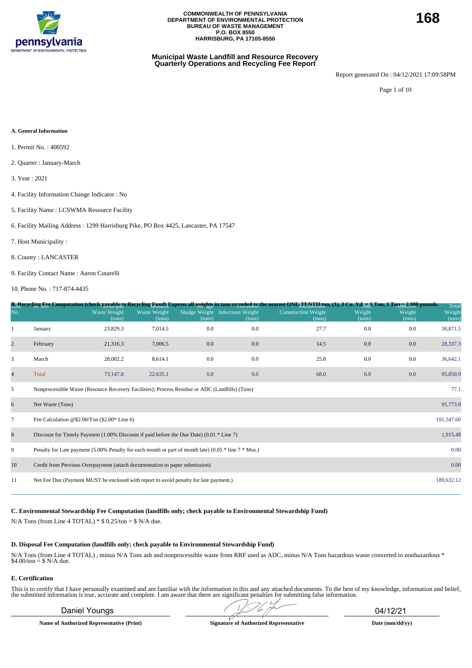

### **Municipal Waste Landfill and Resource Recovery Quarterly Operations and Recycling Fee Report**

Report generated On : 04/12/2021 17:09:58PM

Page 1 of 10

#### **A. General Information**

- 1. Permit No. : 400592
- 2. Quarter : January-March
- 3. Year : 2021
- 4. Facility Information Change Indicator : No
- 5. Facility Name : LCSWMA Resource Facility

6. Facility Mailing Address : 1299 Harrisburg Pike, PO Box 4425, Lancaster, PA 17547

- 7. Host Municipality :
- 8. County : LANCASTER
- 9. Facility Contact Name : Aaron Cutarelli

10. Phone No. : 717-874-4435

|                |                                                                                                          |                               |                        |        |                                           | B <sub>11</sub> Recycling Fee Computation (check payable to Recycling Eynd) Express all <u>weights</u> in tons rounded to nearest ONE <sub>T En</sub> y Haton, (1), 3 Cu. Yd <sub>AUI</sub> Ton, 1 Ton 52,000 pounds. |                  |                  | Total            |
|----------------|----------------------------------------------------------------------------------------------------------|-------------------------------|------------------------|--------|-------------------------------------------|-----------------------------------------------------------------------------------------------------------------------------------------------------------------------------------------------------------------------|------------------|------------------|------------------|
| No.            |                                                                                                          | <b>Waste Weight</b><br>(tons) | Waste Weight<br>(tons) | (tons) | Sludge Weight Infectious Weight<br>(tons) | <b>Construction Weight</b><br>(tons)                                                                                                                                                                                  | Weight<br>(tons) | Weight<br>(tons) | Weight<br>(tons) |
|                | January                                                                                                  | 23,829.3                      | 7,014.5                | 0.0    | 0.0                                       | 27.7                                                                                                                                                                                                                  | 0.0              | 0.0              | 30,871.5         |
| $\overline{c}$ | February                                                                                                 | 21,316.3                      | 7,006.5                | 0.0    | $0.0\,$                                   | 14.5                                                                                                                                                                                                                  | 0.0              | 0.0              | 28,337.3         |
| 3              | March                                                                                                    | 28,002.2                      | 8,614.1                | 0.0    | 0.0                                       | 25.8                                                                                                                                                                                                                  | 0.0              | 0.0              | 36,642.1         |
| $\overline{4}$ | Total                                                                                                    | 73,147.8                      | 22,635.1               | 0.0    | 0.0                                       | 68.0                                                                                                                                                                                                                  | 0.0              | 0.0              | 95,850.9         |
| 5              | Nonprocessible Waste (Resource Recovery Facilities); Process Residue or ADC (Landfills) (Tons)           |                               |                        |        |                                           |                                                                                                                                                                                                                       |                  |                  | 77.1             |
| 6              | Net Waste (Tons)                                                                                         |                               |                        |        |                                           |                                                                                                                                                                                                                       |                  |                  | 95,773.8         |
| $\tau$         | Fee Calculation @\$2.00/Ton $(\$2.00*$ Line 6)                                                           |                               |                        |        |                                           |                                                                                                                                                                                                                       |                  |                  | 191,547.60       |
| 8              | Discount for Timely Payment $(1.00\%$ Discount if paid before the Due Date) $(0.01 * Line 7)$            |                               |                        |        |                                           |                                                                                                                                                                                                                       |                  |                  | 1,915.48         |
| 9              | Penalty for Late payment (5.00% Penalty for each month or part of month late) (0.05 $*$ line 7 $*$ Mos.) |                               |                        |        |                                           |                                                                                                                                                                                                                       |                  |                  | 0.00             |
| 10             | Credit from Previous Overpayment (attach documentation to paper submission)                              |                               |                        |        |                                           |                                                                                                                                                                                                                       |                  |                  | 0.00             |
| 11             | Net Fee Due (Payment MUST be enclosed with report to avoid penalty for late payment.)                    |                               |                        |        |                                           |                                                                                                                                                                                                                       |                  |                  | 189,632.12       |
|                |                                                                                                          |                               |                        |        |                                           |                                                                                                                                                                                                                       |                  |                  |                  |

**C. Environmental Stewardship Fee Computation (landfills only; check payable to Environmental Stewardship Fund)**

N/A Tons (from Line 4 TOTAL)  $*$  \$ 0.25/ton = \$ N/A due.

#### **D. Disposal Fee Computation (landfills only; check payable to Environmental Stewardship Fund)**

N/A Tons (from Line 4 TOTAL) , minus N/A Tons ash and nonprocessible waste from RRF used as ADC, minus N/A Tons hazardous waste converted to nonhazardous \* \$4.00/ton = \$ N/A due.

#### **E. Certification**

This is to certify that I have personally examined and am familiar with the information in this and any attached documents. To the best of my knowledge, information and belief, the submitted information is true, accurate a

**Name of Authorized Representative (Print) Signature of Authorized Representative Date (mm/dd/yy)**

Daniel Youngs 04/12/21  $\sqrt{2}$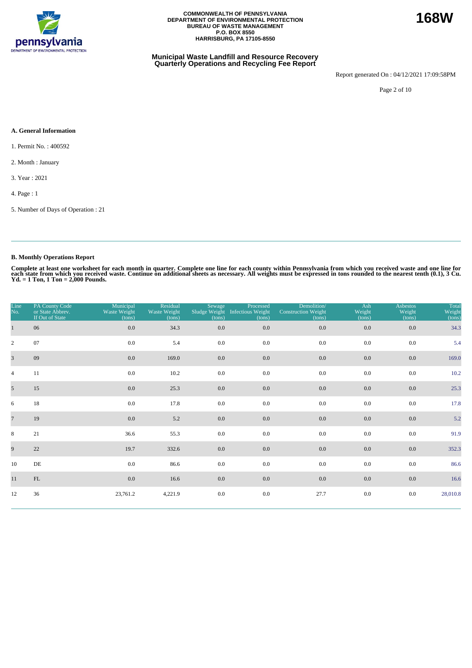

#### **Municipal Waste Landfill and Resource Recovery Quarterly Operations and Recycling Fee Report**

Report generated On : 04/12/2021 17:09:58PM

Page 2 of 10

#### **A. General Information**

1. Permit No. : 400592

2. Month : January

3. Year : 2021

4. Page : 1

5. Number of Days of Operation : 21

### **B. Monthly Operations Report**

Complete at least one worksheet for each month in quarter. Complete one line for each county within Pennsylvania from which you received waste and one line for<br>each state from which you received waste. Continue on addition

| Line<br>No.     | PA County Code<br>or State Abbrev.<br>If Out of State | Municipal<br>Waste Weight<br>(tons) | Residual<br>Waste Weight<br>(tons) | Sewage<br>(tons) | Processed<br>Sludge Weight Infectious Weight<br>(tons) | Demolition/<br><b>Construction Weight</b><br>(tons) | Ash<br>Weight<br>(tons) | <b>Asbestos</b><br>Weight<br>(tons) | Total<br>Weight<br>(tons) |
|-----------------|-------------------------------------------------------|-------------------------------------|------------------------------------|------------------|--------------------------------------------------------|-----------------------------------------------------|-------------------------|-------------------------------------|---------------------------|
| $\mathbf{1}$    | 06                                                    | $0.0\,$                             | 34.3                               | 0.0              | 0.0                                                    | $0.0\,$                                             | 0.0                     | 0.0                                 | 34.3                      |
| $\overline{2}$  | 07                                                    | 0.0                                 | 5.4                                | 0.0              | 0.0                                                    | 0.0                                                 | 0.0                     | 0.0                                 | 5.4                       |
| $\overline{3}$  | 09                                                    | 0.0                                 | 169.0                              | 0.0              | 0.0                                                    | 0.0                                                 | 0.0                     | 0.0                                 | 169.0                     |
| $\overline{4}$  | 11                                                    | 0.0                                 | 10.2                               | 0.0              | 0.0                                                    | 0.0                                                 | 0.0                     | 0.0                                 | 10.2                      |
| 5 <sup>5</sup>  | 15                                                    | 0.0                                 | 25.3                               | $0.0\,$          | $0.0\,$                                                | 0.0                                                 | $0.0\,$                 | 0.0                                 | 25.3                      |
| 6               | 18                                                    | 0.0                                 | 17.8                               | 0.0              | 0.0                                                    | 0.0                                                 | 0.0                     | 0.0                                 | 17.8                      |
| $7\phantom{.0}$ | 19                                                    | 0.0                                 | 5.2                                | 0.0              | 0.0                                                    | 0.0                                                 | 0.0                     | 0.0                                 | 5.2                       |
| 8               | 21                                                    | 36.6                                | 55.3                               | 0.0              | 0.0                                                    | 0.0                                                 | 0.0                     | 0.0                                 | 91.9                      |
| 9               | 22                                                    | 19.7                                | 332.6                              | 0.0              | 0.0                                                    | 0.0                                                 | 0.0                     | 0.0                                 | 352.3                     |
| 10              | DE                                                    | $0.0\,$                             | 86.6                               | 0.0              | 0.0                                                    | 0.0                                                 | $0.0\,$                 | 0.0                                 | 86.6                      |
| 11              | $\mathop{\rm FL}\nolimits$                            | 0.0                                 | 16.6                               | 0.0              | 0.0                                                    | 0.0                                                 | $0.0\,$                 | 0.0                                 | 16.6                      |
| 12              | 36                                                    | 23,761.2                            | 4,221.9                            | 0.0              | $0.0\,$                                                | 27.7                                                | 0.0                     | 0.0                                 | 28,010.8                  |

**168W**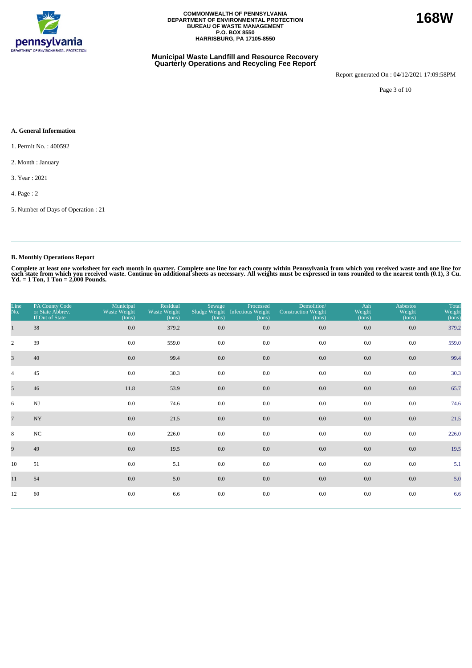

#### **Municipal Waste Landfill and Resource Recovery Quarterly Operations and Recycling Fee Report**

Report generated On : 04/12/2021 17:09:58PM

Page 3 of 10

#### **A. General Information**

- 1. Permit No. : 400592
- 2. Month : January
- 3. Year : 2021
- 4. Page : 2
- 5. Number of Days of Operation : 21

### **B. Monthly Operations Report**

Complete at least one worksheet for each month in quarter. Complete one line for each county within Pennsylvania from which you received waste and one line for<br>each state from which you received waste. Continue on addition

| Line<br>No.     | PA County Code<br>or State Abbrev.<br>If Out of State | Municipal<br>Waste Weight<br>(tons) | Residual<br>Waste Weight<br>(tons) | Sewage<br>Sludge Weight<br>(tons) | Processed<br>Infectious Weight<br>(tons) | Demolition/<br><b>Construction Weight</b><br>(tons) | Ash<br>Weight<br>(tons) | <b>Asbestos</b><br>Weight<br>(tons) | Total<br>Weight<br>(tons) |
|-----------------|-------------------------------------------------------|-------------------------------------|------------------------------------|-----------------------------------|------------------------------------------|-----------------------------------------------------|-------------------------|-------------------------------------|---------------------------|
| $\mathbf{1}$    | $38\,$                                                | $0.0\,$                             | 379.2                              | 0.0                               | 0.0                                      | 0.0                                                 | 0.0                     | 0.0                                 | 379.2                     |
| $\overline{2}$  | 39                                                    | $0.0\,$                             | 559.0                              | 0.0                               | 0.0                                      | 0.0                                                 | 0.0                     | 0.0                                 | 559.0                     |
| $\overline{3}$  | 40                                                    | 0.0                                 | 99.4                               | 0.0                               | 0.0                                      | 0.0                                                 | 0.0                     | 0.0                                 | 99.4                      |
| $\overline{4}$  | 45                                                    | $0.0\,$                             | 30.3                               | 0.0                               | 0.0                                      | 0.0                                                 | 0.0                     | 0.0                                 | 30.3                      |
| 5 <sup>5</sup>  | 46                                                    | 11.8                                | 53.9                               | $0.0\,$                           | $0.0\,$                                  | 0.0                                                 | $0.0\,$                 | 0.0                                 | 65.7                      |
| 6               | $\mathbf{N}\mathbf{J}$                                | $0.0\,$                             | 74.6                               | 0.0                               | 0.0                                      | 0.0                                                 | 0.0                     | 0.0                                 | 74.6                      |
| $7\phantom{.0}$ | $\ensuremath{\text{NY}}$                              | 0.0                                 | 21.5                               | $0.0\,$                           | 0.0                                      | 0.0                                                 | 0.0                     | 0.0                                 | 21.5                      |
| 8               | $_{\mathrm{NC}}$                                      | 0.0                                 | 226.0                              | 0.0                               | 0.0                                      | 0.0                                                 | 0.0                     | 0.0                                 | 226.0                     |
| 9               | 49                                                    | 0.0                                 | 19.5                               | 0.0                               | 0.0                                      | $0.0\,$                                             | 0.0                     | 0.0                                 | 19.5                      |
| 10              | 51                                                    | 0.0                                 | 5.1                                | 0.0                               | 0.0                                      | 0.0                                                 | 0.0                     | 0.0                                 | 5.1                       |
| 11              | 54                                                    | 0.0                                 | 5.0                                | $0.0\,$                           | 0.0                                      | $0.0\,$                                             | 0.0                     | 0.0                                 | 5.0                       |
| 12              | 60                                                    | 0.0                                 | 6.6                                | $0.0\,$                           | $0.0\,$                                  | 0.0                                                 | 0.0                     | 0.0                                 | 6.6                       |

**168W**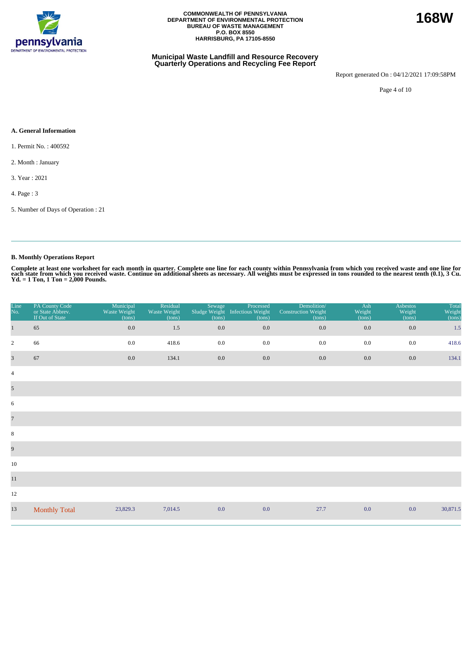

#### **Municipal Waste Landfill and Resource Recovery Quarterly Operations and Recycling Fee Report**

Report generated On : 04/12/2021 17:09:58PM

Page 4 of 10

### **A. General Information**

1. Permit No. : 400592

2. Month : January

3. Year : 2021

4. Page : 3

5. Number of Days of Operation : 21

### **B. Monthly Operations Report**

| Line<br>No.             | PA County Code<br>or State Abbrev.<br>If Out of State | Municipal<br>Waste Weight<br>(tons) | Residual<br>Waste Weight<br>(tons) | Sewage<br>Sludge Weight<br>(tons) | Processed<br><b>Infectious Weight</b><br>(tons) | Demolition/<br><b>Construction Weight</b><br>(tons) | Ash<br>Weight<br>(tons) | <b>Asbestos</b><br>Weight<br>(tons) | Total<br>Weight<br>(tons) |
|-------------------------|-------------------------------------------------------|-------------------------------------|------------------------------------|-----------------------------------|-------------------------------------------------|-----------------------------------------------------|-------------------------|-------------------------------------|---------------------------|
| $\mathbf{1}$            | 65                                                    | 0.0                                 | 1.5                                | 0.0                               | $0.0\,$                                         | 0.0                                                 | $0.0\,$                 | 0.0                                 | 1.5                       |
| $\overline{2}$          | 66                                                    | 0.0                                 | 418.6                              | 0.0                               | $0.0\,$                                         | 0.0                                                 | 0.0                     | 0.0                                 | 418.6                     |
| $\overline{\mathbf{3}}$ | 67                                                    | 0.0                                 | 134.1                              | 0.0                               | $0.0\,$                                         | 0.0                                                 | 0.0                     | 0.0                                 | 134.1                     |
| $\overline{4}$          |                                                       |                                     |                                    |                                   |                                                 |                                                     |                         |                                     |                           |
| $\mathfrak{S}$          |                                                       |                                     |                                    |                                   |                                                 |                                                     |                         |                                     |                           |
| 6                       |                                                       |                                     |                                    |                                   |                                                 |                                                     |                         |                                     |                           |
| $\overline{7}$          |                                                       |                                     |                                    |                                   |                                                 |                                                     |                         |                                     |                           |
| $\,8\,$                 |                                                       |                                     |                                    |                                   |                                                 |                                                     |                         |                                     |                           |
| 9                       |                                                       |                                     |                                    |                                   |                                                 |                                                     |                         |                                     |                           |
| 10                      |                                                       |                                     |                                    |                                   |                                                 |                                                     |                         |                                     |                           |
| $11\,$                  |                                                       |                                     |                                    |                                   |                                                 |                                                     |                         |                                     |                           |
| 12                      |                                                       |                                     |                                    |                                   |                                                 |                                                     |                         |                                     |                           |
| 13                      | <b>Monthly Total</b>                                  | 23,829.3                            | 7,014.5                            | 0.0                               | 0.0                                             | 27.7                                                | 0.0                     | 0.0                                 | 30,871.5                  |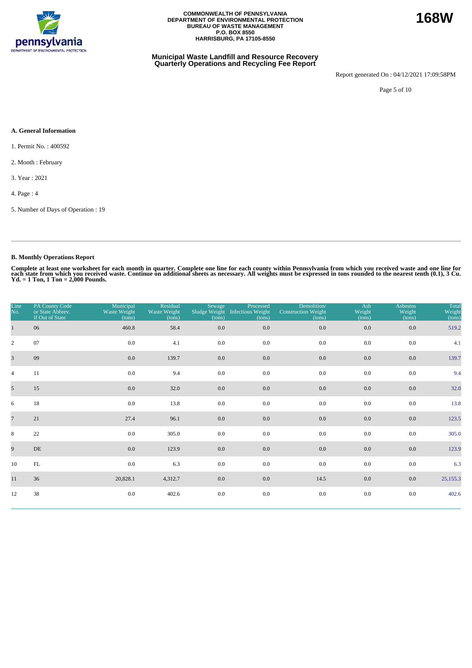

#### **Municipal Waste Landfill and Resource Recovery Quarterly Operations and Recycling Fee Report**

Report generated On : 04/12/2021 17:09:58PM

Page 5 of 10

#### **A. General Information**

- 1. Permit No. : 400592
- 2. Month : February
- 3. Year : 2021
- 4. Page : 4
- 5. Number of Days of Operation : 19

### **B. Monthly Operations Report**

| Line<br>No.    | PA County Code<br>or State Abbrev.<br>If Out of State | Municipal<br>Waste Weight<br>(tons) | Residual<br>Waste Weight<br>(tons) | Sewage<br>(tons) | Processed<br>Sludge Weight Infectious Weight<br>(tons) | Demolition/<br><b>Construction Weight</b><br>(tons) | Ash<br>Weight<br>(tons) | <b>Asbestos</b><br>Weight<br>(tons) | Total<br>Weight<br>(tons) |
|----------------|-------------------------------------------------------|-------------------------------------|------------------------------------|------------------|--------------------------------------------------------|-----------------------------------------------------|-------------------------|-------------------------------------|---------------------------|
|                | 06                                                    | 460.8                               | 58.4                               | 0.0              | 0.0                                                    | $0.0\,$                                             | 0.0                     | 0.0                                 | 519.2                     |
| $\overline{c}$ | 07                                                    | 0.0                                 | 4.1                                | 0.0              | 0.0                                                    | 0.0                                                 | 0.0                     | 0.0                                 | 4.1                       |
| $\overline{3}$ | 09                                                    | 0.0                                 | 139.7                              | 0.0              | 0.0                                                    | $0.0\,$                                             | 0.0                     | 0.0                                 | 139.7                     |
| $\overline{4}$ | 11                                                    | 0.0                                 | 9.4                                | 0.0              | 0.0                                                    | 0.0                                                 | 0.0                     | 0.0                                 | 9.4                       |
| 5 <sup>5</sup> | 15                                                    | 0.0                                 | 32.0                               | $0.0\,$          | 0.0                                                    | 0.0                                                 | 0.0                     | 0.0                                 | 32.0                      |
| 6              | 18                                                    | 0.0                                 | 13.8                               | 0.0              | 0.0                                                    | 0.0                                                 | 0.0                     | 0.0                                 | 13.8                      |
| $\overline{7}$ | 21                                                    | 27.4                                | 96.1                               | $0.0\,$          | 0.0                                                    | 0.0                                                 | 0.0                     | 0.0                                 | 123.5                     |
| 8              | 22                                                    | 0.0                                 | 305.0                              | 0.0              | 0.0                                                    | 0.0                                                 | 0.0                     | 0.0                                 | 305.0                     |
| 9              | DE                                                    | 0.0                                 | 123.9                              | $0.0\,$          | 0.0                                                    | 0.0                                                 | 0.0                     | 0.0                                 | 123.9                     |
| 10             | FL                                                    | 0.0                                 | 6.3                                | 0.0              | 0.0                                                    | 0.0                                                 | 0.0                     | 0.0                                 | 6.3                       |
| 11             | 36                                                    | 20,828.1                            | 4,312.7                            | $0.0\,$          | 0.0                                                    | 14.5                                                | 0.0                     | 0.0                                 | 25,155.3                  |
| 12             | 38                                                    | 0.0                                 | 402.6                              | 0.0              | $0.0\,$                                                | 0.0                                                 | 0.0                     | 0.0                                 | 402.6                     |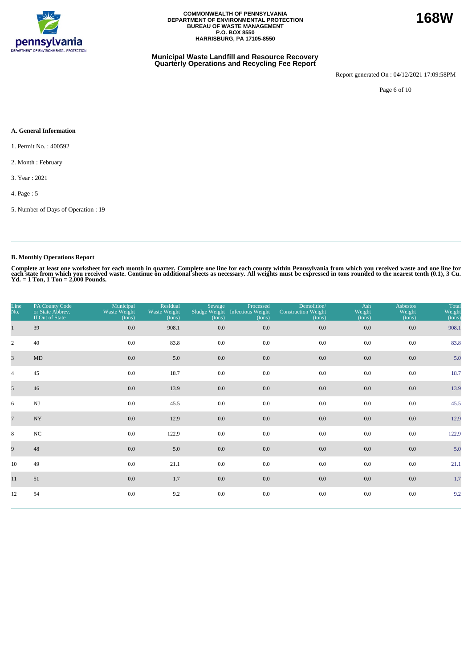

#### **Municipal Waste Landfill and Resource Recovery Quarterly Operations and Recycling Fee Report**

Report generated On : 04/12/2021 17:09:58PM

**168W**

Page 6 of 10

#### **A. General Information**

- 1. Permit No. : 400592
- 2. Month : February
- 3. Year : 2021
- 4. Page : 5
- 5. Number of Days of Operation : 19

### **B. Monthly Operations Report**

| Line<br>No.     | PA County Code<br>or State Abbrev.<br>If Out of State | Municipal<br>Waste Weight<br>(tons) | Residual<br>Waste Weight<br>(tons) | Sewage<br>(tons) | Processed<br>Sludge Weight Infectious Weight<br>(tons) | Demolition/<br><b>Construction Weight</b><br>(tons) | Ash<br>Weight<br>(tons) | <b>Asbestos</b><br>Weight<br>(tons) | Total<br>Weight<br>(tons) |
|-----------------|-------------------------------------------------------|-------------------------------------|------------------------------------|------------------|--------------------------------------------------------|-----------------------------------------------------|-------------------------|-------------------------------------|---------------------------|
|                 | 39                                                    | 0.0                                 | 908.1                              | 0.0              | 0.0                                                    | $0.0\,$                                             | 0.0                     | 0.0                                 | 908.1                     |
| $\overline{c}$  | 40                                                    | 0.0                                 | 83.8                               | 0.0              | 0.0                                                    | 0.0                                                 | 0.0                     | 0.0                                 | 83.8                      |
| $\overline{3}$  | $\mbox{MD}$                                           | 0.0                                 | 5.0                                | 0.0              | 0.0                                                    | $0.0\,$                                             | 0.0                     | 0.0                                 | 5.0                       |
| $\overline{4}$  | 45                                                    | 0.0                                 | 18.7                               | 0.0              | 0.0                                                    | 0.0                                                 | 0.0                     | 0.0                                 | 18.7                      |
| 5 <sup>5</sup>  | 46                                                    | 0.0                                 | 13.9                               | $0.0\,$          | 0.0                                                    | 0.0                                                 | $0.0\,$                 | 0.0                                 | 13.9                      |
| 6               | $\mathbf{N}\mathbf{J}$                                | 0.0                                 | 45.5                               | 0.0              | 0.0                                                    | 0.0                                                 | 0.0                     | 0.0                                 | 45.5                      |
| $7\overline{ }$ | $\ensuremath{\text{NY}}$                              | 0.0                                 | 12.9                               | $0.0\,$          | 0.0                                                    | 0.0                                                 | 0.0                     | 0.0                                 | 12.9                      |
| 8               | NC                                                    | 0.0                                 | 122.9                              | 0.0              | 0.0                                                    | 0.0                                                 | 0.0                     | 0.0                                 | 122.9                     |
| 9               | 48                                                    | 0.0                                 | 5.0                                | $0.0\,$          | 0.0                                                    | 0.0                                                 | 0.0                     | 0.0                                 | 5.0                       |
| 10              | 49                                                    | 0.0                                 | 21.1                               | 0.0              | 0.0                                                    | 0.0                                                 | 0.0                     | 0.0                                 | 21.1                      |
| 11              | 51                                                    | $0.0\,$                             | 1.7                                | $0.0\,$          | 0.0                                                    | 0.0                                                 | 0.0                     | 0.0                                 | 1.7                       |
| 12              | 54                                                    | $0.0\,$                             | 9.2                                | 0.0              | 0.0                                                    | 0.0                                                 | 0.0                     | 0.0                                 | 9.2                       |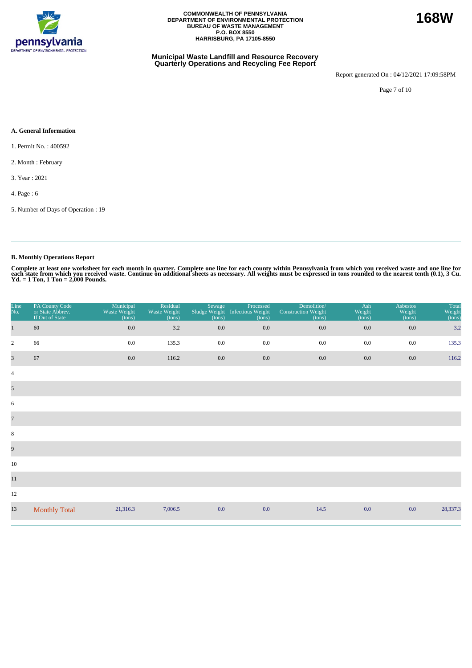

#### **Municipal Waste Landfill and Resource Recovery Quarterly Operations and Recycling Fee Report**

Report generated On : 04/12/2021 17:09:58PM

Page 7 of 10

#### **A. General Information**

- 1. Permit No. : 400592
- 2. Month : February
- 3. Year : 2021
- 4. Page : 6
- 5. Number of Days of Operation : 19

### **B. Monthly Operations Report**

| Line<br>No.             | PA County Code<br>or State Abbrev.<br>If Out of State | Municipal<br>Waste Weight<br>(tons) | Residual<br>Waste Weight<br>(tons) | Sewage<br>Sludge Weight<br>(tons) | Processed<br><b>Infectious Weight</b><br>(tons) | Demolition/<br><b>Construction Weight</b><br>(tons) | Ash<br>Weight<br>(tons) | <b>Asbestos</b><br>Weight<br>(tons) | Total<br>Weight<br>(tons) |
|-------------------------|-------------------------------------------------------|-------------------------------------|------------------------------------|-----------------------------------|-------------------------------------------------|-----------------------------------------------------|-------------------------|-------------------------------------|---------------------------|
| $\mathbf{1}$            | 60                                                    | 0.0                                 | 3.2                                | 0.0                               | $0.0\,$                                         | 0.0                                                 | $0.0\,$                 | 0.0                                 | 3.2                       |
| $\overline{2}$          | 66                                                    | 0.0                                 | 135.3                              | 0.0                               | $0.0\,$                                         | 0.0                                                 | 0.0                     | 0.0                                 | 135.3                     |
| $\overline{\mathbf{3}}$ | 67                                                    | 0.0                                 | 116.2                              | 0.0                               | $0.0\,$                                         | 0.0                                                 | 0.0                     | 0.0                                 | 116.2                     |
| $\overline{4}$          |                                                       |                                     |                                    |                                   |                                                 |                                                     |                         |                                     |                           |
| $\mathfrak{S}$          |                                                       |                                     |                                    |                                   |                                                 |                                                     |                         |                                     |                           |
| 6                       |                                                       |                                     |                                    |                                   |                                                 |                                                     |                         |                                     |                           |
| $\overline{7}$          |                                                       |                                     |                                    |                                   |                                                 |                                                     |                         |                                     |                           |
| $\,8\,$                 |                                                       |                                     |                                    |                                   |                                                 |                                                     |                         |                                     |                           |
| 9                       |                                                       |                                     |                                    |                                   |                                                 |                                                     |                         |                                     |                           |
| 10                      |                                                       |                                     |                                    |                                   |                                                 |                                                     |                         |                                     |                           |
| $1\,1$                  |                                                       |                                     |                                    |                                   |                                                 |                                                     |                         |                                     |                           |
| 12                      |                                                       |                                     |                                    |                                   |                                                 |                                                     |                         |                                     |                           |
| 13                      | <b>Monthly Total</b>                                  | 21,316.3                            | 7,006.5                            | 0.0                               | 0.0                                             | 14.5                                                | 0.0                     | 0.0                                 | 28,337.3                  |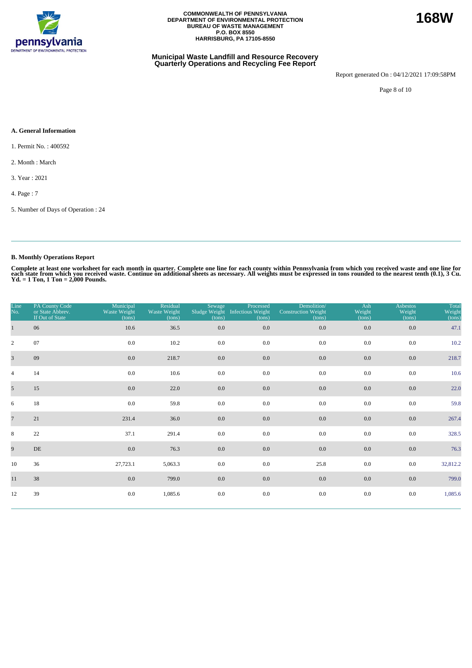

#### **Municipal Waste Landfill and Resource Recovery Quarterly Operations and Recycling Fee Report**

Report generated On : 04/12/2021 17:09:58PM

Page 8 of 10

#### **A. General Information**

1. Permit No. : 400592

2. Month : March

3. Year : 2021

4. Page : 7

5. Number of Days of Operation : 24

### **B. Monthly Operations Report**

Complete at least one worksheet for each month in quarter. Complete one line for each county within Pennsylvania from which you received waste and one line for<br>each state from which you received waste. Continue on addition

| Line<br>No.     | PA County Code<br>or State Abbrev.<br>If Out of State | Municipal<br>Waste Weight<br>(tons) | Residual<br>Waste Weight<br>(tons) | Sewage<br>Sludge Weight<br>(tons) | Processed<br><b>Infectious Weight</b><br>(tons) | Demolition/<br><b>Construction Weight</b><br>(tons) | Ash<br>Weight<br>(tons) | <b>Asbestos</b><br>Weight<br>(tons) | Total<br>Weight<br>(tons) |
|-----------------|-------------------------------------------------------|-------------------------------------|------------------------------------|-----------------------------------|-------------------------------------------------|-----------------------------------------------------|-------------------------|-------------------------------------|---------------------------|
| $\mathbf{1}$    | 06                                                    | 10.6                                | 36.5                               | 0.0                               | 0.0                                             | 0.0                                                 | $0.0\,$                 | 0.0                                 | 47.1                      |
| $\overline{2}$  | 07                                                    | $0.0\,$                             | 10.2                               | 0.0                               | 0.0                                             | 0.0                                                 | 0.0                     | 0.0                                 | 10.2                      |
| $\overline{3}$  | 09                                                    | 0.0                                 | 218.7                              | 0.0                               | 0.0                                             | 0.0                                                 | 0.0                     | 0.0                                 | 218.7                     |
| $\overline{4}$  | 14                                                    | 0.0                                 | 10.6                               | $0.0\,$                           | 0.0                                             | 0.0                                                 | $0.0\,$                 | 0.0                                 | 10.6                      |
| 5 <sup>5</sup>  | 15                                                    | 0.0                                 | 22.0                               | 0.0                               | $0.0\,$                                         | 0.0                                                 | $0.0\,$                 | 0.0                                 | 22.0                      |
| 6               | 18                                                    | 0.0                                 | 59.8                               | 0.0                               | 0.0                                             | 0.0                                                 | 0.0                     | 0.0                                 | 59.8                      |
| $7\phantom{.0}$ | 21                                                    | 231.4                               | 36.0                               | 0.0                               | 0.0                                             | 0.0                                                 | 0.0                     | 0.0                                 | 267.4                     |
| 8               | 22                                                    | 37.1                                | 291.4                              | 0.0                               | 0.0                                             | 0.0                                                 | 0.0                     | 0.0                                 | 328.5                     |
| 9               | DE                                                    | 0.0                                 | 76.3                               | 0.0                               | 0.0                                             | 0.0                                                 | 0.0                     | 0.0                                 | 76.3                      |
| 10              | 36                                                    | 27,723.1                            | 5,063.3                            | 0.0                               | 0.0                                             | 25.8                                                | $0.0\,$                 | 0.0                                 | 32,812.2                  |
| 11              | 38                                                    | 0.0                                 | 799.0                              | 0.0                               | 0.0                                             | 0.0                                                 | 0.0                     | 0.0                                 | 799.0                     |
| 12              | 39                                                    | 0.0                                 | 1,085.6                            | $0.0\,$                           | $0.0\,$                                         | 0.0                                                 | 0.0                     | 0.0                                 | 1,085.6                   |

**168W**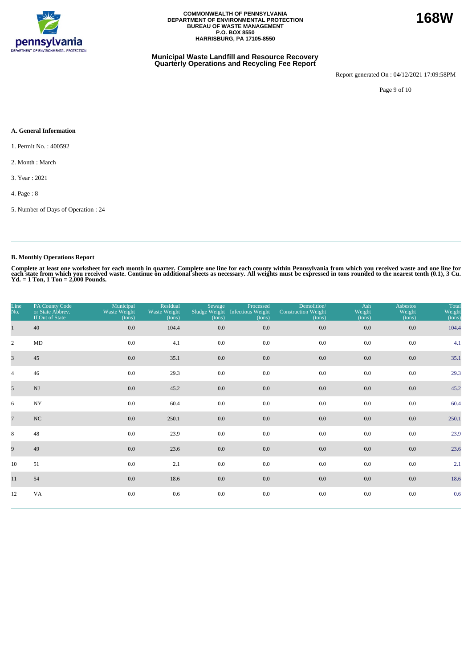

#### **Municipal Waste Landfill and Resource Recovery Quarterly Operations and Recycling Fee Report**

Report generated On : 04/12/2021 17:09:58PM

**168W**

Page 9 of 10

#### **A. General Information**

1. Permit No. : 400592

2. Month : March

3. Year : 2021

4. Page : 8

5. Number of Days of Operation : 24

### **B. Monthly Operations Report**

| Line<br>No.     | PA County Code<br>or State Abbrev.<br>If Out of State | Municipal<br>Waste Weight<br>(tons) | Residual<br>Waste Weight<br>(tons) | Sewage<br>(tons) | Processed<br>Sludge Weight Infectious Weight<br>(tons) | Demolition/<br><b>Construction Weight</b><br>(tons) | Ash<br>Weight<br>(tons) | <b>Asbestos</b><br>Weight<br>(tons) | Total<br>Weight<br>(tons) |
|-----------------|-------------------------------------------------------|-------------------------------------|------------------------------------|------------------|--------------------------------------------------------|-----------------------------------------------------|-------------------------|-------------------------------------|---------------------------|
| $\mathbf{1}$    | 40                                                    | $0.0\,$                             | 104.4                              | $0.0\,$          | 0.0                                                    | 0.0                                                 | 0.0                     | $0.0\,$                             | 104.4                     |
| $\overline{2}$  | MD                                                    | 0.0                                 | 4.1                                | 0.0              | 0.0                                                    | 0.0                                                 | 0.0                     | 0.0                                 | 4.1                       |
| $\overline{3}$  | 45                                                    | 0.0                                 | 35.1                               | 0.0              | 0.0                                                    | 0.0                                                 | 0.0                     | 0.0                                 | 35.1                      |
| $\overline{4}$  | 46                                                    | 0.0                                 | 29.3                               | 0.0              | 0.0                                                    | 0.0                                                 | 0.0                     | 0.0                                 | 29.3                      |
| $5\overline{)}$ | $\mathbf{N}\mathbf{J}$                                | 0.0                                 | 45.2                               | $0.0\,$          | 0.0                                                    | $0.0\,$                                             | 0.0                     | 0.0                                 | 45.2                      |
| 6               | $_{\mathrm{NY}}$                                      | 0.0                                 | 60.4                               | 0.0              | 0.0                                                    | 0.0                                                 | 0.0                     | 0.0                                 | 60.4                      |
| $\overline{7}$  | NC                                                    | $0.0\,$                             | 250.1                              | $0.0\,$          | 0.0                                                    | $0.0\,$                                             | 0.0                     | $0.0\,$                             | 250.1                     |
| 8               | 48                                                    | 0.0                                 | 23.9                               | 0.0              | 0.0                                                    | 0.0                                                 | 0.0                     | 0.0                                 | 23.9                      |
| 9               | 49                                                    | 0.0                                 | 23.6                               | $0.0\,$          | 0.0                                                    | 0.0                                                 | 0.0                     | 0.0                                 | 23.6                      |
| 10              | 51                                                    | 0.0                                 | 2.1                                | 0.0              | 0.0                                                    | 0.0                                                 | 0.0                     | 0.0                                 | 2.1                       |
| 11              | 54                                                    | 0.0                                 | 18.6                               | $0.0\,$          | 0.0                                                    | $0.0\,$                                             | 0.0                     | 0.0                                 | 18.6                      |
| 12              | VA                                                    | 0.0                                 | 0.6                                | 0.0              | 0.0                                                    | $0.0\,$                                             | 0.0                     | $0.0\,$                             | 0.6                       |